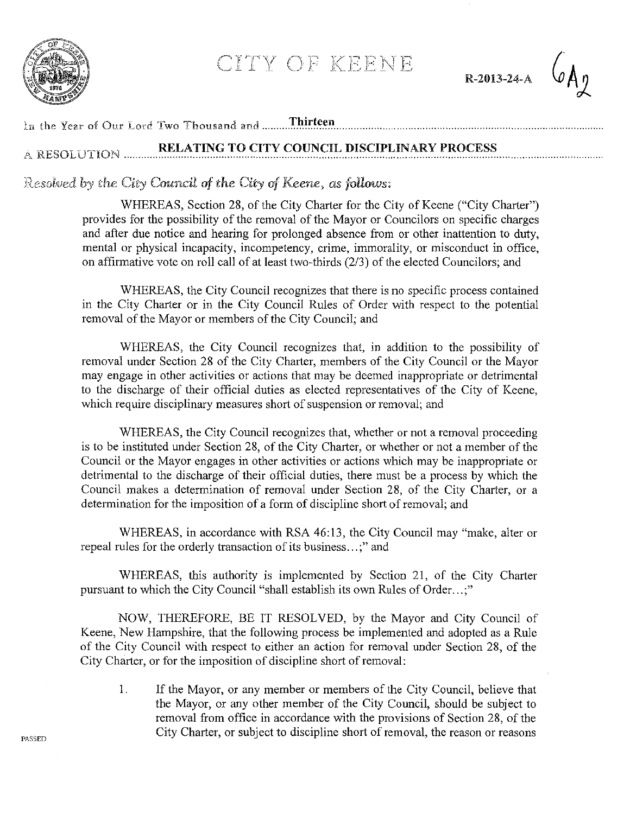

CITY OF KEENE

R-2013-24-A



## In the Year of Our Lord Two Thousand and .......... Thirteen

## RELATING TO CITY COUNCIL DISCIPLINARY PROCESS A RESOLUTION ........

*Re:salved* h)' *the City Coun.cU of the City of* Keene, *as follows:* 

WHEREAS, Section 28, of the City Charter for the City of Keene ("City Charter") provides for the possibility of the removal of the Mayor or Councilors on specific charges and after due notice and hearing for prolonged absence from or other inattention to duty, mental or physical incapacity, incompetency, crime, immorality, or misconduct in office, on affirmative vote on roll call of at least two-thirds (2/3) of the elected Councilors; and

WHEREAS, the City Council recognizes that there is no specific process contained in the City Charter or in the City Council Rules of Order with respect to the potential removal of the Mayor or members of the City Council; and

WHEREAS, the City Council recognizes that, in addition to the possibility of removal under Section 28 of the City Charter, members of the City Council or the Mayor may engage in other activities or actions that may be deemed inappropriate or detrimental to the discharge of their official duties as elected representatives of the City of Keene, which require disciplinary measures short of suspension or removal; and

WHEREAS, the City Council recognizes that, whether or not a removal proceeding is to be instituted under Section 28, of the City Charter, or whether or not a member of the Council or the Mayor engages in other activities or actions which may be inappropriate or detrimental to the discharge of their official duties, there must be a process by which the Council makes a determination of removal under Section 28, of the City Charter, or a determination for the imposition of a form of discipline short of removal; and

WHEREAS, in accordance with RSA 46:13, the City Council may "make, alter or repeal rules for the orderly transaction of its business...;" and

WHEREAS, this authority is implemented by Section 21, of the City Charter pursuant to which the City Council "shall establish its own Rules of Order...;"

NOW, THEREFORE, BE IT RESOLVED, by the Mayor and City Council of Keene, New Hampshire, that the following process be implemented and adopted as a Rule of the City Council with respect to either an action for removal under Section 28, of the City Charter, or for the imposition of discipline short of removal:

I. If the Mayor, or any member or members of the City Council, believe that the Mayor, or any other member of the City Council, should be subject to removal from office in accordance with the provisions of Section 28, of the City Charter, or subject to discipline short of removal, the reason or reasons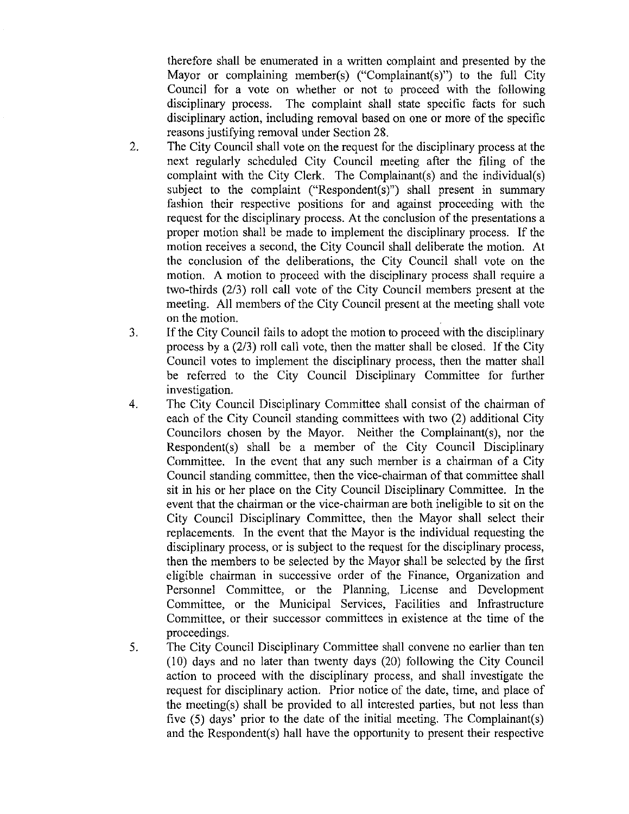therefore shall be enumerated in a written complaint and presented by the Mayor or complaining member(s) ("Complainant(s)") to the full City Council for a vote on whether or not to proceed with the following disciplinary process. The complaint shall state specific facts for such disciplinary action, including removal based on one or more of the specific reasons justifying removal under Section 28.

- 2. The City Council shall vote on the request for the disciplinary process at the next regularly scheduled City Council meeting after the filing of the complaint with the City Clerk. The Complainant(s) and the individual(s) subject to the complaint ("Respondent(s)") shall present in summary fashion their respective positions for and against proceeding with the request for the disciplinary process. At the conclusion of the presentations a proper motion shall be made to implement the disciplinary process. If the motion receives a second, the City Council shall deliberate the motion. At the conclusion of the deliberations, the City Council shall vote on the motion. A motion to proceed with the disciplinary process shall require a two-thirds (2/3) roll call vote of the City Council members present at the meeting. All members of the City Council present at the meeting shall vote on the motion.
- 3. If the City Council fails to adopt the motion to proceed with the disciplinary process by a (2/3) roll call vote, then the matter shall be closed. If the City Council votes to implement the disciplinary process, then the matter shall be referred to the City Council Disciplinary Committee for further investigation.
- 4. The City Council Disciplinary Committee shall consist of the chairman of each of the City Council standing committees with two (2) additional City Councilors chosen by the Mayor. Neither the Complainant(s), nor the Respondent(s) shall be a member of the City Council Disciplinary Committee. In the event that any such member is a chairman of a City Council standing committee, then the vice-chairman of that committee shall sit in his or her place on the City Council Disciplinary Committee. In the event that the chairman or the vice-chairman are both ineligible to sit on the City Council Disciplinary Committee, then the Mayor shall select their replacements. In the event that the Mayor is the individual requesting the disciplinary process, or is subject to the request for the disciplinary process, then the members to be selected by the Mayor shall be selected by the first eligible chairman in successive order of the Finance, Organization and Personnel Committee, or the Planning, License and Development Committee, or the Municipal Services, Facilities and Infrastructure Committee, or their successor committees in existence at the time of the proceedings.
- 5. The City Council Disciplinary Committee shall convene no earlier than ten  $(10)$  days and no later than twenty days  $(20)$  following the City Council action to proceed with the disciplinary process, and shall investigate the request for disciplinary action. Prior notice of the date, time, and place of the meeting(s) shall be provided to all interested parties, but not less than five (5) days' prior to the date of the initial meeting. The Complainant(s) and the Respondent(s) hall have the opportunity to present their respective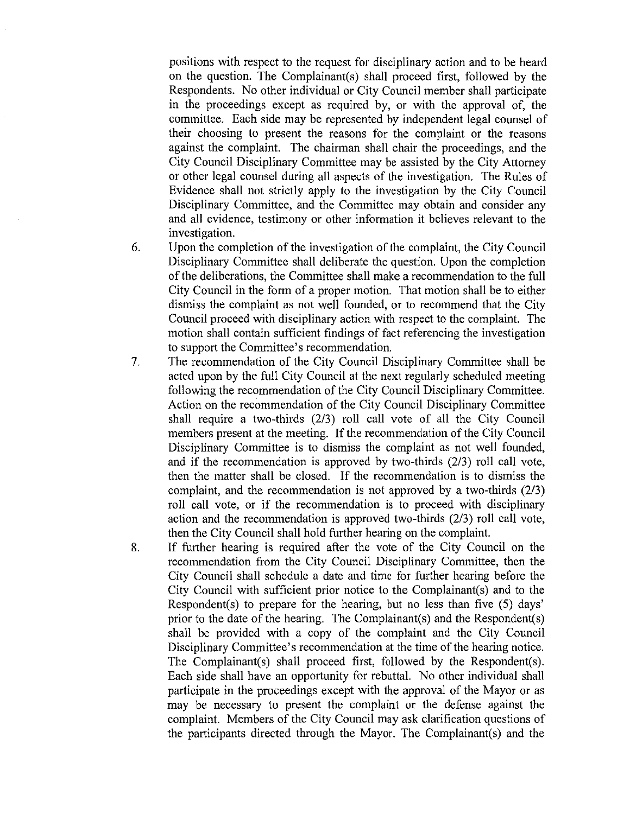positions with respect to the request for disciplinary action and to be heard on the question. The Complainant(s) shall proceed first, followed by the Respondents. No other individual or City Council member shall participate in the proceedings except as required by, or with the approval of, the committee. Each side may be represented by independent legal counsel of their choosing to present the reasons for the complaint or the reasons against the complaint. The chairman shall chair the proceedings, and the City Council Disciplinary Committee may be assisted by the City Attorney or other legal counsel during all aspects of the investigation. The Rules of Evidence shall not strictly apply to the investigation by the City Council Disciplinary Committee, and the Committee may obtain and consider any and all evidence, testimony or other information it believes relevant to the investigation.

- 6. Upon the completion of the investigation of the complaint, the City Council Disciplinary Committee shall deliberate the question. Upon the completion of the deliberations, the Committee shall make a recommendation to the full City Council in the form of a proper motion. That motion shall be to either dismiss the complaint as not well founded, or to recommend that the City Council proceed with disciplinary action with respect to the complaint. The motion shall contain sufficient findings of fact referencing the investigation to support the Committee's recommendation.
- 7. The recommendation of the City Council Disciplinary Committee shall be acted upon by the full City Council at the next regularly scheduled meeting following the recommendation of the City Council Disciplinary Committee. Action on the recommendation of the City Council Disciplinary Committee shall require a two-thirds (2/3) roll call vote of all the City Council members present at the meeting. If the recommendation of the City Council Disciplinary Committee is to dismiss the complaint as not well founded, and if the recommendation is approved by two-thirds (2/3) roll call vote, then the matter shall be closed. If the recommendation is to dismiss the complaint, and the recommendation is not approved by a two-thirds (2/3) roll call vote, or if the recommendation is to proceed with disciplinary action and the recommendation is approved two-thirds (2/3) roll call vote, then the City Council shall hold further hearing on the complaint.
- 8. If further hearing is required after the vote of the City Council on the recommendation from the City Council Disciplinary Committee, then the City Council shall schedule a date and time for further hearing before the City Council with sufficient prior notice to the Complainant(s) and to the Respondent(s) to prepare for the hearing, but no less than five (5) days' prior to the date of the hearing. The Complainant(s) and the Respondent(s) shall be provided with a copy of the complaint and the City Council Disciplinary Committee's recommendation at the time of the hearing notice. The Complainant(s) shall proceed first, followed by the Respondent(s). Each side shall have an opportunity for rebuttal. No other individual shall participate in the proceedings except with the approval of the Mayor or as may be necessary to present the complaint or the defense against the complaint. Members of the City Council may ask clarification questions of the participants directed through the Mayor. The Complainant(s) and the